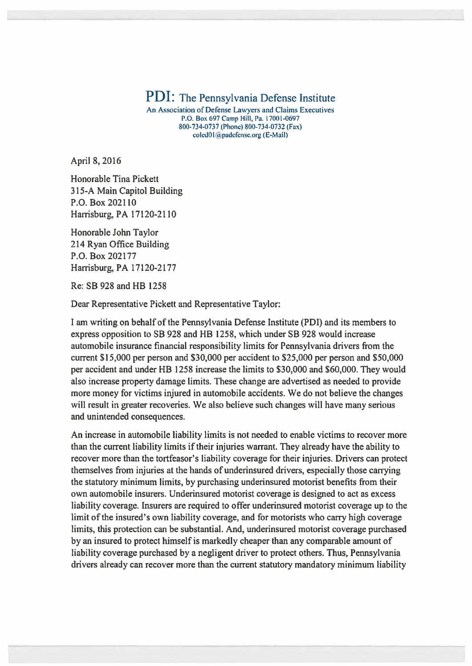## PDI: The Pennsylvania Defense Institute

An Association of Defense Lawyers and Claims Executives P.O. Box 697 Camp Hill, Pa. 17001-0697 800-734-0737 (Phone) 800-734-0732 (Fax) coled01@padefense.org (E-Mail)

April 8, 2016

Honorable Tina Pickett 315-A Main Capitol Building P.O. Box 202110 Harrisburg, PA 17120-2110

Honorable John Taylor 214 Ryan Office Building P.O. Box 202177 Harrisburg, PA 17120-2177

Re: SB 928 and HB 1258

Dear Representative Pickett and Representative Taylor:

I am writing on behalf of the Pennsylvania Defense Institute (POI) and its members to express opposition to SB 928 and HB 1258, which under SB 928 would increase automobile insurance financial responsibility limits for Pennsylvania drivers from the current \$15,000 per person and \$30,000 per accident to \$25,000 per person and \$50,000 per accident and under HB 1258 increase the limits to \$30,000 and \$60,000. They would also increase property damage limits. These change are advertised as needed to provide more money for victims injured in automobile accidents. We do not believe the changes will result in greater recoveries. We also believe such changes will have many serious and unintended consequences.

An increase in automobile liability limits is not needed to enable victims to recover more than the current liability limits if their injuries warrant. They already have the ability to recover more than the tortfeasor's liability coverage for their injuries. Drivers can protect themselves from injuries at the hands of underinsured drivers, especially those carrying the statutory minimum limits, by purchasing underinsured motorist benefits from their own automobile insurers. Underinsured motorist coverage is designed to act as excess liability coverage. Insurers are required to offer underinsured motorist coverage up to the limit of the insured's own liability coverage, and for motorists who carry high coverage limits, this protection can be substantial. And, underinsured motorist coverage purchased by an insured to protect himself is markedly cheaper than any comparable amount of liability coverage purchased by a negligent driver to protect others. Thus, Pennsylvania drivers already can recover more than the current statutory mandatory minimum liability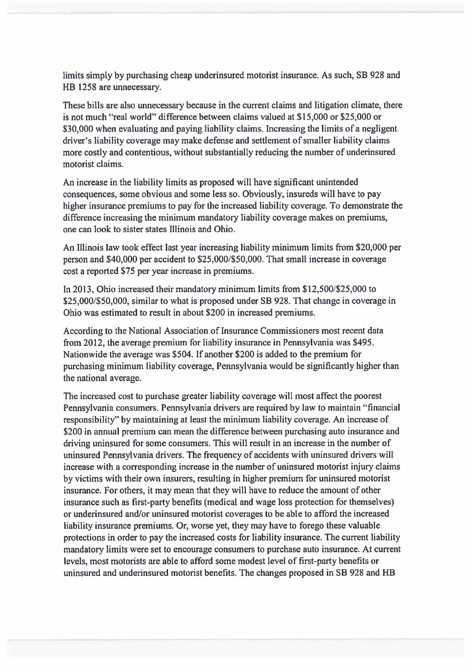limits simply by purchasing cheap underinsured motorist insurance. As such, SB 928 and HB 1258 are unnecessary.

These bills are also unnecessary because in the current claims and litigation climate, there is not much "real world" difference between claims valued at \$15,000 or \$25,000 or \$30,000 when evaluating and paying liability claims. Increasing the limits of a negligent driver's liability coverage may make defense and settlement of smaller liability claims more costly and contentious, without substantially reducing the number of underinsured motorist claims.

An increase in the liability limits as proposed will have significant unintended consequences, some obvious and some less so. Obviously, insureds will have to pay higher insurance premiums to pay for the increased liability coverage. To demonstrate the difference increasing the minimum mandatory liability coverage makes on premiums, one can look to sister states Illinois and Ohio.

An Illinois law took effect last year increasing liability minimum limits from \$20,000 per person and \$40,000 per accident to \$25,000/\$50,000. That small increase in coverage cost a reported \$75 per year increase in premiums.

In 2013, Ohio increased their mandatory minimum limits from \$12,500/\$25,000 to \$25,000/\$50,000, similar to what is proposed under SB 928. That change in coverage in Ohio was estimated to result in about \$200 in increased premiums.

According to the National Association of Insurance Commissioners most recent data from 2012, the average premium for liability insurance in Pennsylvania was \$495. Nationwide the average was \$504. If another \$200 is added to the premium for purchasing minimum liability coverage, Pennsylvania would be significantly higher than the national average.

The increased cost to purchase greater liability coverage will most affect the poorest Pennsylvania consumers. Pennsylvania drivers are required by law to maintain ''financial responsibility" by maintaining at least the minimum liability coverage. An increase of \$200 in annual premium can mean the difference between purchasing auto insurance and driving uninsured for some consumers. This will result in an increase in the number of uninsured Pennsylvania drivers. The frequency of accidents with uninsured drivers will increase with a corresponding increase in the number of uninsured motorist injury claims by victims with their own insurers, resulting in higher premium for uninsured motorist insurance. For others, it may mean that they will have to reduce the amount of other insurance such as first-party benefits (medical and wage loss protection for themselves) or underinsured and/or uninsured motorist coverages to be able to afford the increased liability insurance premiums. Or, worse yet, they may have to forego these valuable protections in order to pay the increased costs for liability insurance. The current liability mandatory limits were set to encourage consumers to purchase auto insurance. At current levels, most motorists are able to afford some modest level of first-party benefits or uninsured and underinsured motorist benefits. The changes proposed in SB 928 and HB